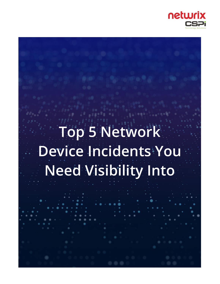

# **Top 5 Network Device Incidents You Need Visibility Into**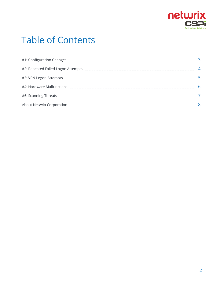

## Table of Contents

| #1: Configuration Changes                                                                                           |  |
|---------------------------------------------------------------------------------------------------------------------|--|
| #2: Repeated Failed Logon Attempts                                                                                  |  |
| #3: VPN Logon Attempts                                                                                              |  |
| #4: Hardware Malfunctions                                                                                           |  |
| #5: Scanning Threats <b>Commission Commission</b> Commission Commission Commission Commission Commission Commission |  |
| About Netwrix Corporation                                                                                           |  |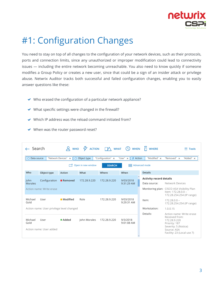

## <span id="page-2-0"></span>#1: Configuration Changes

You need to stay on top of all changes to the configuration of your network devices, such as their protocols, ports and connection limits, since any unauthorized or improper modification could lead to connectivity issues — including the entire network becoming unreachable. You also need to know quickly if someone modifies a Group Policy or creates a new user, since that could be a sign of an insider attack or privilege abuse. Netwrix Auditor tracks both successful and failed configuration changes, enabling you to easily answer questions like these:

- $\vee$  Who erased the configuration of a particular network appliance?
- $\vee$  What specific settings were changed in the firewall?
- $\blacktriangleright$  Which IP address was the reload command initiated from?
- $\vee$  When was the router password reset?

| $\leftarrow$ Search |                                                              |                     | $\beta$ who $\beta$ action $\Box$ what $\Box$ |                   | <b>WHEN</b>                             | <b>NHERE</b>                   | $\equiv$ Tools                                                                                                                                   |  |  |
|---------------------|--------------------------------------------------------------|---------------------|-----------------------------------------------|-------------------|-----------------------------------------|--------------------------------|--------------------------------------------------------------------------------------------------------------------------------------------------|--|--|
| Data source<br>O    |                                                              | "Network Devices" x | O Object type                                 | "Configuration" × | $\frac{1}{2}$ Action<br>"User" $\times$ | "Modified" ×                   | "Removed" ×<br>"Added" ×                                                                                                                         |  |  |
|                     | Open in new window<br>BE Advanced mode<br>M<br><b>SEARCH</b> |                     |                                               |                   |                                         |                                |                                                                                                                                                  |  |  |
| Who                 | Object type                                                  | Action              | What                                          | Where             | When                                    | <b>Details</b>                 |                                                                                                                                                  |  |  |
| John                | Configuration                                                | Removed             | 172.28.9.220                                  | 172.28.9.220      | 9/03/2018                               | <b>Activity record details</b> |                                                                                                                                                  |  |  |
| <b>Morales</b>      |                                                              |                     |                                               |                   | 9:31:29 AM                              | Data source:                   | Network Devices                                                                                                                                  |  |  |
|                     | Action name: Write erase                                     |                     |                                               |                   |                                         |                                | Monitoring plan: CISCO ASA Visibility Plan<br>Item: 172.28.0.0 -<br>172.28.254.254 (IP range)                                                    |  |  |
| Michael<br>Gold     | User                                                         | Modified            | Role                                          | 172.28.9.220      | 9/03/2018<br>9:29:31 AM                 | Item:                          | $172.28.0.0 -$<br>172.28.254.254 (IP range)                                                                                                      |  |  |
|                     | Action name: User privilege level changed                    |                     |                                               |                   |                                         | Workstation:                   | 1.0.0.15                                                                                                                                         |  |  |
| Michael<br>Gold     | User<br>Action name: User added                              | ■ Added             | John Morales                                  | 172.28.9.220      | 9/3/2018<br>9:01:08 AM                  | Details:                       | Action name: Write erase<br>Received from:<br>172.28.9.220<br>Priority: 187<br>Severity: 5 (Notice)<br>Source: ASA<br>Facility: 23 (Local use 7) |  |  |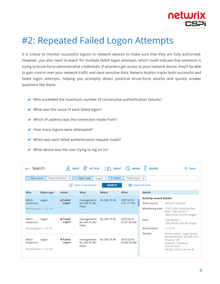

### <span id="page-3-0"></span>#2: Repeated Failed Logon Attempts

It is critical to monitor successful logons to network devices to make sure that they are fully authorized. However, you also need to watch for multiple failed logon attempts, which could indicate that someone is trying to brute-force administrative credentials. If attackers get access to your network device, they'll be able to gain control over your network traffic and steal sensitive data. Netwrix Auditor tracks both successful and failed logon attempts, helping you promptly detect potential brute-force attacks and quickly answer questions like these:

- $\blacktriangleright$  Who exceeded the maximum number of consecutive authentication failures?
- ◆ What was the cause of each failed logon?
- $\vee$  Which IP address was the connection made from?
- ◆ How many logons were attempted?
- $\vee$  When was each failed authentication request made?
- $\vee$  What device was the user trying to log on to?

| $\leftarrow$ Search                                                                                                   |                                                        |                          | WHO $\frac{1}{2}$ action $\Box \wedge$ what $\Box$ when |              |                            | $\overline{\Pi}$ WHERE         | $\equiv$ Tools                                                                                                                                |  |  |  |
|-----------------------------------------------------------------------------------------------------------------------|--------------------------------------------------------|--------------------------|---------------------------------------------------------|--------------|----------------------------|--------------------------------|-----------------------------------------------------------------------------------------------------------------------------------------------|--|--|--|
| "Logon" $\times$<br>$\frac{1}{2}$ Action<br>"Failed logon" x<br>"Network Devices" ×<br>O Object type<br>O Data source |                                                        |                          |                                                         |              |                            |                                |                                                                                                                                               |  |  |  |
|                                                                                                                       | Open in new window<br><b>SEARCH</b><br>■ Advanced mode |                          |                                                         |              |                            |                                |                                                                                                                                               |  |  |  |
| Who                                                                                                                   | Object type                                            | Action                   | What                                                    | Where        | When                       | <b>Details</b>                 |                                                                                                                                               |  |  |  |
| Mitch                                                                                                                 | Logon                                                  | <b>Failed</b>            | management:                                             | 66.249.79.96 | 9/07/2018                  | <b>Activity record details</b> |                                                                                                                                               |  |  |  |
| Anderson                                                                                                              |                                                        | Logon                    | 66.249.79.96/                                           |              | 1:01:17 PM                 | Data source:                   | Network Devices                                                                                                                               |  |  |  |
|                                                                                                                       | Workstation: 1.2.0.10                                  |                          | https                                                   |              |                            |                                | Monitoring plan: CISCO ASA Visibility Plan<br>Item: 188.243.82.1 -<br>188.243.82.254 (IP range)                                               |  |  |  |
| Mitch<br>Anderson                                                                                                     | Logon                                                  | <b>■ Failed</b><br>Logon | management:<br>66.249.79.96/<br>https                   | 66.249.79.96 | 9/07/2018<br>$01:01:00$ AM | Item:                          | $188.243.82.1 -$<br>188.243.82.254 (IP range)                                                                                                 |  |  |  |
|                                                                                                                       | Workstation: 1.2.0.10                                  |                          |                                                         |              |                            | Workstation:                   | 1.2.0.10                                                                                                                                      |  |  |  |
| Mitch<br>Anderson                                                                                                     | Logon<br>Workstation: 1.2.0.10                         | ■ Failed<br>Logon        | management:<br>66.249.79.96/<br>https                   | 66.249.79.96 | 9/07/2018<br>01:00:38 AM   | Details:                       | Action name: Login failed<br>Received from: 66,249,79.9<br>Priority: 187<br>Severity: 7 (Notice)<br>Source: ASA<br>Facility: 20 (Local use 4) |  |  |  |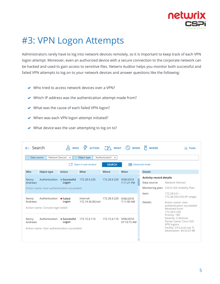

### <span id="page-4-0"></span>#3: VPN Logon Attempts

Administrators rarely have to log into network devices remotely, so it is important to keep track of each VPN logon attempt. Moreover, even an authorized device with a secure connection to the corporate network can be hacked and used to gain access to sensitive files. Netwrix Auditor helps you monitor both successful and failed VPN attempts to log on to your network devices and answer questions like the following:

- $\vee$  Who tried to access network devices over a VPN?
- $\blacktriangleright$  Which IP address was the authentication attempt made from?
- ◆ What was the cause of each failed VPN logon?
- ◆ When was each VPN logon attempt initiated?
- $\vee$  What device was the user attempting to log on to?

| $\leftarrow$ Search |                                                                             |                           | $\beta$ who $\beta$ action $\beta$ what |              | $\left(\begin{smallmatrix} 1 \\ 2 \end{smallmatrix}\right)$ when | <b>NHERE</b>                   | $\equiv$ Tools                                                                 |  |  |  |
|---------------------|-----------------------------------------------------------------------------|---------------------------|-----------------------------------------|--------------|------------------------------------------------------------------|--------------------------------|--------------------------------------------------------------------------------|--|--|--|
|                     | "Network Devices" x<br>O Data source<br>O Object type<br>"Authentication" × |                           |                                         |              |                                                                  |                                |                                                                                |  |  |  |
|                     | <b>■■ Advanced mode</b><br>Open in new window<br><b>SEARCH</b>              |                           |                                         |              |                                                                  |                                |                                                                                |  |  |  |
| Who                 | Object type                                                                 | Action                    | What                                    | Where        | When                                                             | <b>Details</b>                 |                                                                                |  |  |  |
| Nancy               | Authentication                                                              | $\blacksquare$ Successful | 172.28.9.220                            | 172.28.9.220 | 9/06/2018                                                        | <b>Activity record details</b> |                                                                                |  |  |  |
| Andrews             |                                                                             | Logon                     |                                         |              | 7:11:21 PM                                                       | Data source:                   | Network Devices                                                                |  |  |  |
|                     | Action name: User authentication succeeded                                  |                           |                                         |              |                                                                  |                                | Monitoring plan: CISCO IOS Visibility Plan                                     |  |  |  |
| Nancy               | Authentication                                                              | <b>Failed</b>             | Internal:                               | 172.28.9.220 | 9/06/2018                                                        | Item:                          | $172.28.0.0 -$<br>172.28.254.254 (IP range)                                    |  |  |  |
| Andrews             | Action name: Console login failed                                           | Logon                     | 172.19.36.85/ssh                        |              | 7:11:00 AM                                                       | Details:                       | Action name: User<br>authentication succeeded<br>Received from:                |  |  |  |
|                     |                                                                             |                           |                                         |              |                                                                  |                                | 172.28.9.220                                                                   |  |  |  |
| Nancy<br>Andrews    | Authentication                                                              | Successful<br>Logon       | 172.15.4.110                            | 172.15.4.110 | 9/06/2018<br>07:10:15 AM                                         |                                | Priority: 189<br>Severity: 5 (Notice)<br>Parser name: Cisco IOS:<br>VPN logons |  |  |  |
|                     | Action name: User authentication succeeded                                  |                           |                                         |              |                                                                  |                                | Facility: 23 (Local use 7)<br>Destination: 44.55.67.88                         |  |  |  |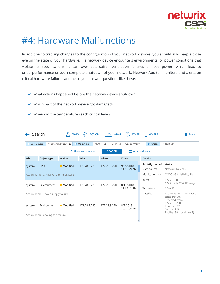

### <span id="page-5-0"></span>#4: Hardware Malfunctions

In addition to tracking changes to the configuration of your network devices, you should also keep a close eye on the state of your hardware. If a network device encounters environmental or power conditions that violate its specifications, it can overheat, suffer ventilation failures or lose power, which lead to underperformance or even complete shutdown of your network. Network Auditor monitors and alerts on critical hardware failures and helps you answer questions like these:

- ◆ What actions happened before the network device shutdown?
- ◆ Which part of the network device got damaged?
- ◆ When did the temperature reach critical level?

| - Search      |                                                               |                     | $\beta$ who $\frac{1}{2}$ action $\beta$ what |                                  | <b>WHEN</b>                                                | $\overline{\Pi}$ WHERE         | $\equiv$ Tools                                                             |  |  |
|---------------|---------------------------------------------------------------|---------------------|-----------------------------------------------|----------------------------------|------------------------------------------------------------|--------------------------------|----------------------------------------------------------------------------|--|--|
| O Data source |                                                               | "Network Devices" x | O Object type                                 | "RAM" $\times$<br>"CPU" $\times$ | "Environment"                                              | $\times$ $\frac{1}{7}$ Action  | "Modified"<br>$\times$                                                     |  |  |
|               | <b>目 Advanced mode</b><br>Open in new window<br><b>SEARCH</b> |                     |                                               |                                  |                                                            |                                |                                                                            |  |  |
| Who           | Object type                                                   | Action              | What                                          | Where                            | When                                                       | <b>Details</b>                 |                                                                            |  |  |
| system        | <b>CPU</b>                                                    | <b>Modified</b>     | 172.28.9.220                                  | 172.28.9.220                     | 9/05/2018                                                  | <b>Activity record details</b> |                                                                            |  |  |
|               |                                                               |                     |                                               |                                  | 11:31:29 AM                                                | Data source:                   | Network Devices                                                            |  |  |
|               | Action name: Critical CPU temperature                         |                     |                                               |                                  |                                                            |                                | Monitoring plan: CISCO ASA Visibility Plan                                 |  |  |
| system        | Environment                                                   | ■ Modified          | 172.28.9.220                                  | 172.28.9.220                     | 8/17/2018                                                  | Item:                          | $172.28.0.0 -$<br>172.28.254.254 (IP range)                                |  |  |
|               |                                                               |                     |                                               |                                  | 11:29:31 AM                                                | Workstation:                   | 1.0.0.15                                                                   |  |  |
|               | Action name: Power supply failure                             |                     |                                               | Details:                         | Action name: Critical CPU<br>temperature<br>Received from: |                                |                                                                            |  |  |
| system        | Environment                                                   | ■ Modified          | 172.28.9.220                                  | 172.28.9.220                     | 8/2/2018<br>10:01:08 AM                                    |                                | 172.28.9.220<br>Priority: 187<br>Source: ASA<br>Facility: 39 (Local use 9) |  |  |
|               | Action name: Cooling fan failure                              |                     |                                               |                                  |                                                            |                                |                                                                            |  |  |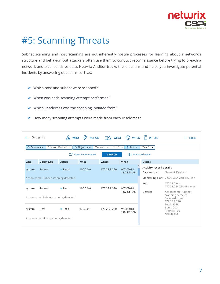

## <span id="page-6-0"></span>#5: Scanning Threats

Subnet scanning and host scanning are not inherently hostile processes for learning about a network's structure and behavior, but attackers often use them to conduct reconnaissance before trying to breach a network and steal sensitive data. Netwrix Auditor tracks these actions and helps you investigate potential incidents by answering questions such as:

- $\vee$  Which host and subnet were scanned?
- ◆ When was each scanning attempt performed?
- $\vee$  Which IP address was the scanning initiated from?
- ◆ How many scanning attempts were made from each IP address?

| $\leftarrow$ Search |                                                                                                                     | $Q$ WHO             |           |              | $\frac{1}{2}$ action $\Box \wedge$ what $\Box$ when | <b>H</b> WHERE                 | $\equiv$ Tools                                                             |  |  |  |  |
|---------------------|---------------------------------------------------------------------------------------------------------------------|---------------------|-----------|--------------|-----------------------------------------------------|--------------------------------|----------------------------------------------------------------------------|--|--|--|--|
| $\circ$             | "Read" $\times$<br>"Network Devices" x<br>O Object type<br>"Subnet" ×<br>"Host" $\times$<br>4 Action<br>Data source |                     |           |              |                                                     |                                |                                                                            |  |  |  |  |
|                     | Open in new window<br><b>目 Advanced mode</b><br>M<br><b>SEARCH</b>                                                  |                     |           |              |                                                     |                                |                                                                            |  |  |  |  |
| Who                 | Object type                                                                                                         | Action              | What      | Where        | When                                                | <b>Details</b>                 |                                                                            |  |  |  |  |
| system              | Subnet                                                                                                              | $\blacksquare$ Read | 100.0.0.0 | 172.28.9.220 | 9/03/2018                                           | <b>Activity record details</b> |                                                                            |  |  |  |  |
|                     |                                                                                                                     |                     |           |              | 11:24:58 AM                                         | Data source:                   | Network Devices                                                            |  |  |  |  |
|                     | Action name: Subnet scanning detected                                                                               |                     |           |              |                                                     |                                | Monitoring plan: CISCO ASA Visibility Plan                                 |  |  |  |  |
| system              | Subnet                                                                                                              | $\blacksquare$ Read | 100.0.0.0 | 172.28.9.220 | 9/03/2018                                           | Item:                          | $172.28.0.0 -$<br>172.28.254.254 (IP range)                                |  |  |  |  |
|                     | Action name: Subnet scanning detected                                                                               |                     |           |              | 11:24:51 AM                                         | Details:                       | Action name: Subnet<br>scanning detected<br>Received from:<br>172.28.9.220 |  |  |  |  |
| system              | Host                                                                                                                | $\blacksquare$ Read | 175.0.0.1 | 172.28.9.220 | 9/03/2018<br>11:24:47 AM                            |                                | <b>Total: 2028</b><br><b>Burst: 200</b><br>Priority: 166<br>Average: 3     |  |  |  |  |
|                     | Action name: Host scanning detected                                                                                 |                     |           |              |                                                     |                                |                                                                            |  |  |  |  |